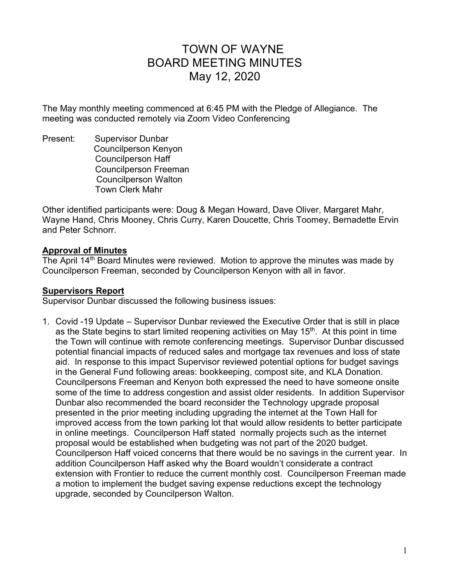# TOWN OF WAYNE BOARD MEETING MINUTES May 12, 2020

The May monthly meeting commenced at 6:45 PM with the Pledge of Allegiance. The meeting was conducted remotely via Zoom Video Conferencing

Present: Supervisor Dunbar Councilperson Kenyon Councilperson Haff Councilperson Freeman Councilperson Walton Town Clerk Mahr

Other identified participants were: Doug & Megan Howard, Dave Oliver, Margaret Mahr, Wayne Hand, Chris Mooney, Chris Curry, Karen Doucette, Chris Toomey, Bernadette Ervin and Peter Schnorr.

# **Approval of Minutes**

The April 14<sup>th</sup> Board Minutes were reviewed. Motion to approve the minutes was made by Councilperson Freeman, seconded by Councilperson Kenyon with all in favor.

# **Supervisors Report**

Supervisor Dunbar discussed the following business issues:

1. Covid -19 Update – Supervisor Dunbar reviewed the Executive Order that is still in place as the State begins to start limited reopening activities on May  $15<sup>th</sup>$ . At this point in time the Town will continue with remote conferencing meetings. Supervisor Dunbar discussed potential financial impacts of reduced sales and mortgage tax revenues and loss of state aid. In response to this impact Supervisor reviewed potential options for budget savings in the General Fund following areas: bookkeeping, compost site, and KLA Donation. Councilpersons Freeman and Kenyon both expressed the need to have someone onsite some of the time to address congestion and assist older residents. In addition Supervisor Dunbar also recommended the board reconsider the Technology upgrade proposal presented in the prior meeting including upgrading the internet at the Town Hall for improved access from the town parking lot that would allow residents to better participate in online meetings. Councilperson Haff stated normally projects such as the internet proposal would be established when budgeting was not part of the 2020 budget. Councilperson Haff voiced concerns that there would be no savings in the current year. In addition Councilperson Haff asked why the Board wouldn't considerate a contract extension with Frontier to reduce the current monthly cost. Councilperson Freeman made a motion to implement the budget saving expense reductions except the technology upgrade, seconded by Councilperson Walton.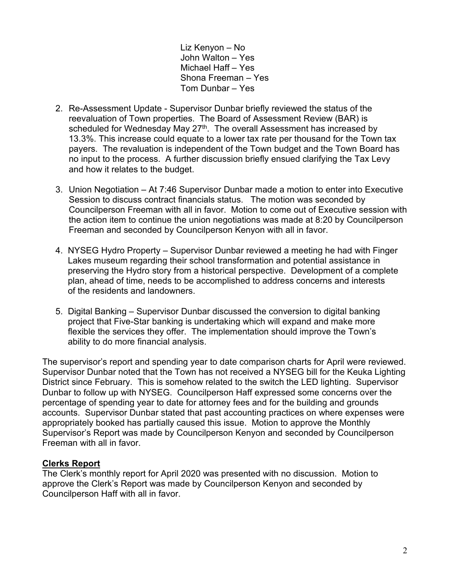Liz Kenyon – No John Walton – Yes Michael Haff – Yes Shona Freeman – Yes Tom Dunbar – Yes

- 2. Re-Assessment Update Supervisor Dunbar briefly reviewed the status of the reevaluation of Town properties. The Board of Assessment Review (BAR) is scheduled for Wednesday May  $27<sup>th</sup>$ . The overall Assessment has increased by 13.3%. This increase could equate to a lower tax rate per thousand for the Town tax payers. The revaluation is independent of the Town budget and the Town Board has no input to the process. A further discussion briefly ensued clarifying the Tax Levy and how it relates to the budget.
- 3. Union Negotiation At 7:46 Supervisor Dunbar made a motion to enter into Executive Session to discuss contract financials status. The motion was seconded by Councilperson Freeman with all in favor. Motion to come out of Executive session with the action item to continue the union negotiations was made at 8:20 by Councilperson Freeman and seconded by Councilperson Kenyon with all in favor.
- 4. NYSEG Hydro Property Supervisor Dunbar reviewed a meeting he had with Finger Lakes museum regarding their school transformation and potential assistance in preserving the Hydro story from a historical perspective. Development of a complete plan, ahead of time, needs to be accomplished to address concerns and interests of the residents and landowners.
- 5. Digital Banking Supervisor Dunbar discussed the conversion to digital banking project that Five-Star banking is undertaking which will expand and make more flexible the services they offer. The implementation should improve the Town's ability to do more financial analysis.

The supervisor's report and spending year to date comparison charts for April were reviewed. Supervisor Dunbar noted that the Town has not received a NYSEG bill for the Keuka Lighting District since February. This is somehow related to the switch the LED lighting. Supervisor Dunbar to follow up with NYSEG. Councilperson Haff expressed some concerns over the percentage of spending year to date for attorney fees and for the building and grounds accounts. Supervisor Dunbar stated that past accounting practices on where expenses were appropriately booked has partially caused this issue. Motion to approve the Monthly Supervisor's Report was made by Councilperson Kenyon and seconded by Councilperson Freeman with all in favor.

# **Clerks Report**

The Clerk's monthly report for April 2020 was presented with no discussion. Motion to approve the Clerk's Report was made by Councilperson Kenyon and seconded by Councilperson Haff with all in favor.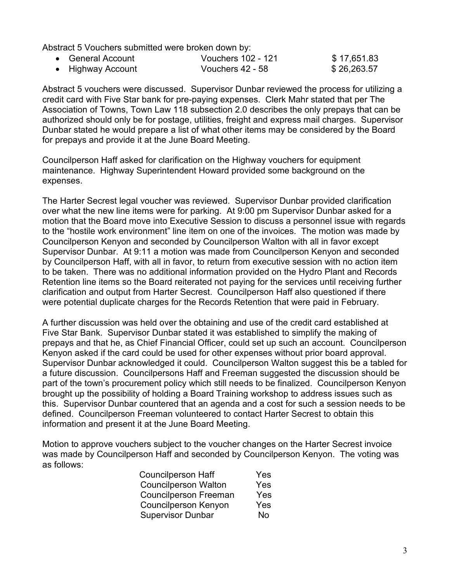Abstract 5 Vouchers submitted were broken down by:

| • General Account | Vouchers 102 - 121 | \$17,651.83 |
|-------------------|--------------------|-------------|
| • Highway Account | Vouchers 42 - 58   | \$26,263.57 |

Abstract 5 vouchers were discussed. Supervisor Dunbar reviewed the process for utilizing a credit card with Five Star bank for pre-paying expenses. Clerk Mahr stated that per The Association of Towns, Town Law 118 subsection 2.0 describes the only prepays that can be authorized should only be for postage, utilities, freight and express mail charges. Supervisor Dunbar stated he would prepare a list of what other items may be considered by the Board for prepays and provide it at the June Board Meeting.

Councilperson Haff asked for clarification on the Highway vouchers for equipment maintenance. Highway Superintendent Howard provided some background on the expenses.

The Harter Secrest legal voucher was reviewed. Supervisor Dunbar provided clarification over what the new line items were for parking. At 9:00 pm Supervisor Dunbar asked for a motion that the Board move into Executive Session to discuss a personnel issue with regards to the "hostile work environment" line item on one of the invoices. The motion was made by Councilperson Kenyon and seconded by Councilperson Walton with all in favor except Supervisor Dunbar. At 9:11 a motion was made from Councilperson Kenyon and seconded by Councilperson Haff, with all in favor, to return from executive session with no action item to be taken. There was no additional information provided on the Hydro Plant and Records Retention line items so the Board reiterated not paying for the services until receiving further clarification and output from Harter Secrest. Councilperson Haff also questioned if there were potential duplicate charges for the Records Retention that were paid in February.

A further discussion was held over the obtaining and use of the credit card established at Five Star Bank. Supervisor Dunbar stated it was established to simplify the making of prepays and that he, as Chief Financial Officer, could set up such an account. Councilperson Kenyon asked if the card could be used for other expenses without prior board approval. Supervisor Dunbar acknowledged it could. Councilperson Walton suggest this be a tabled for a future discussion. Councilpersons Haff and Freeman suggested the discussion should be part of the town's procurement policy which still needs to be finalized. Councilperson Kenyon brought up the possibility of holding a Board Training workshop to address issues such as this. Supervisor Dunbar countered that an agenda and a cost for such a session needs to be defined. Councilperson Freeman volunteered to contact Harter Secrest to obtain this information and present it at the June Board Meeting.

Motion to approve vouchers subject to the voucher changes on the Harter Secrest invoice was made by Councilperson Haff and seconded by Councilperson Kenyon. The voting was as follows:

| <b>Councilperson Haff</b>    | Yes |
|------------------------------|-----|
| <b>Councilperson Walton</b>  | Yes |
| <b>Councilperson Freeman</b> | Yes |
| <b>Councilperson Kenyon</b>  | Yes |
| <b>Supervisor Dunbar</b>     | Nο  |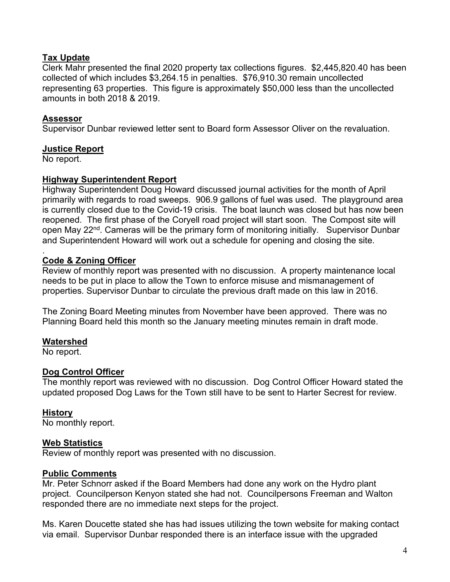# **Tax Update**

Clerk Mahr presented the final 2020 property tax collections figures. \$2,445,820.40 has been collected of which includes \$3,264.15 in penalties. \$76,910.30 remain uncollected representing 63 properties. This figure is approximately \$50,000 less than the uncollected amounts in both 2018 & 2019.

# **Assessor**

Supervisor Dunbar reviewed letter sent to Board form Assessor Oliver on the revaluation.

# **Justice Report**

No report.

# **Highway Superintendent Report**

Highway Superintendent Doug Howard discussed journal activities for the month of April primarily with regards to road sweeps. 906.9 gallons of fuel was used. The playground area is currently closed due to the Covid-19 crisis. The boat launch was closed but has now been reopened. The first phase of the Coryell road project will start soon. The Compost site will open May 22<sup>nd</sup>. Cameras will be the primary form of monitoring initially. Supervisor Dunbar and Superintendent Howard will work out a schedule for opening and closing the site.

#### . **Code & Zoning Officer**

Review of monthly report was presented with no discussion. A property maintenance local needs to be put in place to allow the Town to enforce misuse and mismanagement of properties. Supervisor Dunbar to circulate the previous draft made on this law in 2016.

The Zoning Board Meeting minutes from November have been approved. There was no Planning Board held this month so the January meeting minutes remain in draft mode.

# **Watershed**

No report.

# **Dog Control Officer**

The monthly report was reviewed with no discussion. Dog Control Officer Howard stated the updated proposed Dog Laws for the Town still have to be sent to Harter Secrest for review.

# **History**

No monthly report.

# **Web Statistics**

Review of monthly report was presented with no discussion.

# **Public Comments**

Mr. Peter Schnorr asked if the Board Members had done any work on the Hydro plant project. Councilperson Kenyon stated she had not. Councilpersons Freeman and Walton responded there are no immediate next steps for the project.

Ms. Karen Doucette stated she has had issues utilizing the town website for making contact via email. Supervisor Dunbar responded there is an interface issue with the upgraded